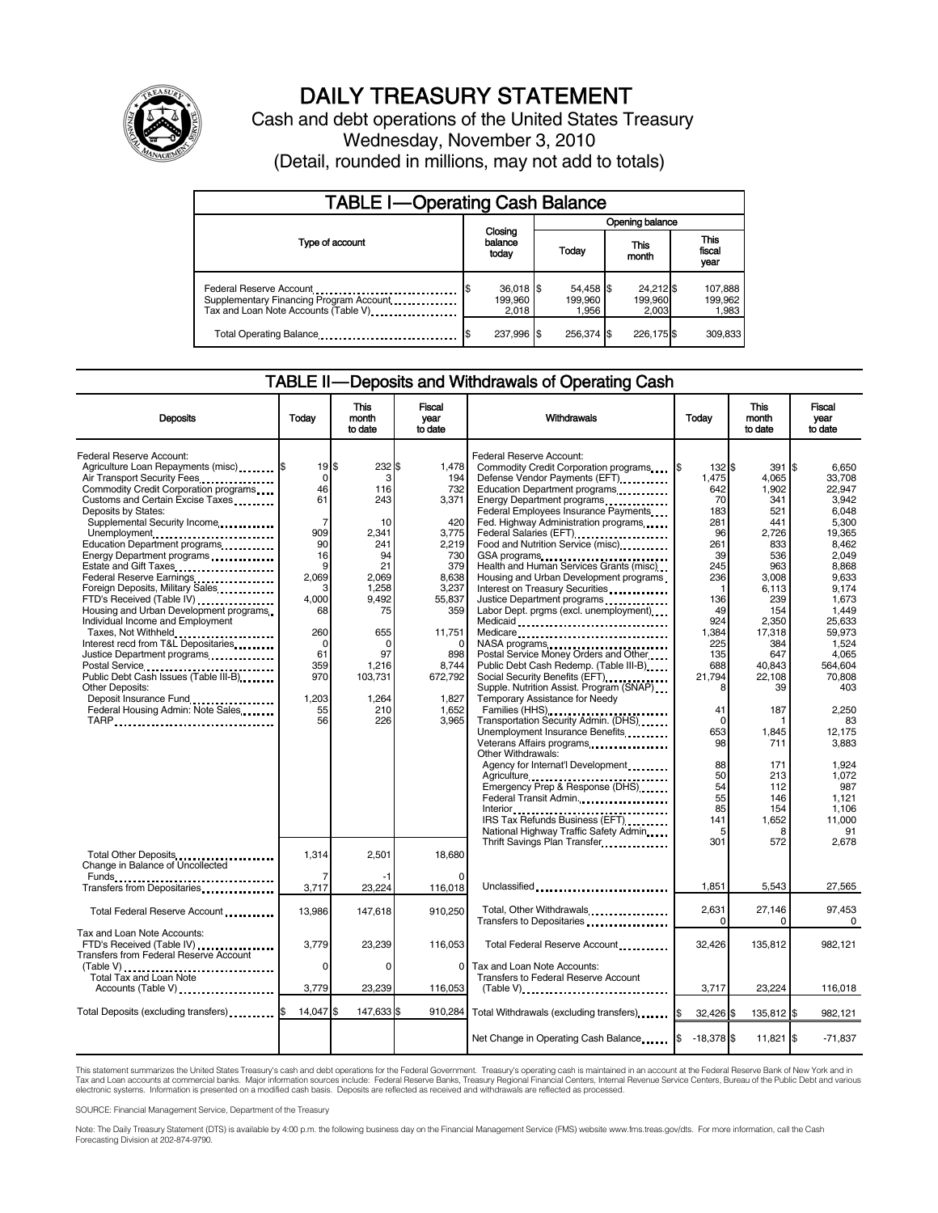

## DAILY TREASURY STATEMENT

Cash and debt operations of the United States Treasury Wednesday, November 3, 2010 (Detail, rounded in millions, may not add to totals)

| <b>TABLE I-Operating Cash Balance</b>                                                                      |                                 |                               |                               |                             |  |  |
|------------------------------------------------------------------------------------------------------------|---------------------------------|-------------------------------|-------------------------------|-----------------------------|--|--|
|                                                                                                            | Opening balance                 |                               |                               |                             |  |  |
| Type of account                                                                                            | Closing<br>balance<br>today     | Today                         | This<br>month                 | This<br>fiscal<br>year      |  |  |
| Federal Reserve Account<br>Supplementary Financing Program Account<br>Tax and Loan Note Accounts (Table V) | $36,018$ \$<br>199.960<br>2.018 | 54,458 \$<br>199.960<br>1.956 | 24,212 \$<br>199,960<br>2.003 | 107,888<br>199,962<br>1,983 |  |  |
| Total Operating Balance                                                                                    | 237,996 \$                      | 256.374 \$                    | 226,175\$                     | 309.833                     |  |  |

#### TABLE II — Deposits and Withdrawals of Operating Cash

| <b>Deposits</b>                                                                                                                                                                                                                                                                                                                                                                                                                                                                                 | Todav                                                                                                 | <b>This</b><br>month<br>to date                                                           | Fiscal<br>year<br>to date                                                                                   | <b>Withdrawals</b>                                                                                                                                                                                                                                                                                                                                                                                                                                                                                                                                              | Todav                                                                                          | <b>This</b><br>month<br>to date                                                                          | <b>Fiscal</b><br>vear<br>to date                                                                                                     |
|-------------------------------------------------------------------------------------------------------------------------------------------------------------------------------------------------------------------------------------------------------------------------------------------------------------------------------------------------------------------------------------------------------------------------------------------------------------------------------------------------|-------------------------------------------------------------------------------------------------------|-------------------------------------------------------------------------------------------|-------------------------------------------------------------------------------------------------------------|-----------------------------------------------------------------------------------------------------------------------------------------------------------------------------------------------------------------------------------------------------------------------------------------------------------------------------------------------------------------------------------------------------------------------------------------------------------------------------------------------------------------------------------------------------------------|------------------------------------------------------------------------------------------------|----------------------------------------------------------------------------------------------------------|--------------------------------------------------------------------------------------------------------------------------------------|
| Federal Reserve Account:<br>Agriculture Loan Repayments (misc) \$<br>Air Transport Security Fees<br>Commodity Credit Corporation programs<br>Customs and Certain Excise Taxes<br>Deposits by States:<br>Supplemental Security Income<br>Unemployment<br>Education Department programs<br>Energy Department programs<br>Estate and Gift Taxes<br>Federal Reserve Earnings<br>Foreign Deposits, Military Sales<br>FTD's Received (Table IV) <b>[19]</b><br>Housing and Urban Development programs | 19S<br>$\mathbf 0$<br>46<br>61<br>$\overline{7}$<br>909<br>90<br>16<br>9<br>2.069<br>3<br>4.000<br>68 | 232<br>3<br>116<br>243<br>10<br>2,341<br>241<br>94<br>21<br>2,069<br>1,258<br>9,492<br>75 | 1.478<br>ድ<br>194<br>732<br>3,371<br>420<br>3,775<br>2,219<br>730<br>379<br>8,638<br>3,237<br>55,837<br>359 | Federal Reserve Account:<br>Commodity Credit Corporation programs<br>Defense Vendor Payments (EFT)<br>Education Department programs<br>Energy Department programs<br><br>Federal Employees Insurance Payments<br>Fed. Highway Administration programs<br>Federal Salaries (EFT)<br>Federal Salaries (EFT)<br>Food and Nutrition Service (misc)<br>GSA programs<br>Health and Human Services Grants (misc)<br>Housing and Urban Development programs<br>Interest on Treasury Securities<br>Justice Department programs<br>Labor Dept. prgms (excl. unemployment) | 132 \$<br>1,475<br>642<br>70<br>183<br>281<br>96<br>261<br>39<br>245<br>236<br>-1<br>136<br>49 | 391<br>4,065<br>1,902<br>341<br>521<br>441<br>2,726<br>833<br>536<br>963<br>3,008<br>6,113<br>239<br>154 | I\$<br>6.650<br>33,708<br>22.947<br>3.942<br>6.048<br>5,300<br>19.365<br>8.462<br>2,049<br>8,868<br>9.633<br>9,174<br>1,673<br>1,449 |
| Individual Income and Employment<br>Taxes, Not Withheld<br>Interest recd from T&L Depositaries<br>Justice Department programs<br>Public Debt Cash Issues (Table III-B)<br>Other Deposits:<br>Federal Housing Admin: Note Sales                                                                                                                                                                                                                                                                  | 260<br>$\Omega$<br>61<br>359<br>970<br>1,203<br>55                                                    | 655<br>$\Omega$<br>97<br>1,216<br>103,731<br>1,264<br>210                                 | 11,751<br>898<br>8,744<br>672,792<br>1,827<br>1,652                                                         | Medicaid<br>Medicare<br>NASA programs<br>Postal Service Money Orders and Other<br>Public Debt Cash Redemp. (Table III-B)<br>Social Security Benefits (EFT)<br>Supple. Nutrition Assist. Program (SNAP)<br>Temporary Assistance for Needy                                                                                                                                                                                                                                                                                                                        | 924<br>1,384<br>225<br>135<br>688<br>21,794<br>8<br>41                                         | 2,350<br>17,318<br>384<br>647<br>40,843<br>22,108<br>39<br>187                                           | 25,633<br>59.973<br>1,524<br>4.065<br>564.604<br>70.808<br>403<br>2,250                                                              |
| TARP                                                                                                                                                                                                                                                                                                                                                                                                                                                                                            | 56                                                                                                    | 226                                                                                       | 3.965                                                                                                       | Transportation Security Admin. (DHS)<br>Unemployment Insurance Benefits<br>Veterans Affairs programs<br>Other Withdrawals:<br>Agency for Internat'l Development<br>Agriculture<br>Emergency Prep & Response (DHS)<br>Federal Transit Admin.<br>IRS Tax Refunds Business (EFT)<br>National Highway Traffic Safety Admin                                                                                                                                                                                                                                          | $\Omega$<br>653<br>98<br>88<br>50<br>54<br>55<br>85<br>141                                     | 1,845<br>711<br>171<br>213<br>112<br>146<br>154<br>1,652<br>8                                            | 83<br>12,175<br>3,883<br>1.924<br>1.072<br>987<br>1.121<br>1,106<br>11.000<br>91                                                     |
| Total Other Deposits<br>Change in Balance of Uncollected                                                                                                                                                                                                                                                                                                                                                                                                                                        | 1,314<br>7                                                                                            | 2,501                                                                                     | 18,680<br>O                                                                                                 | Thrift Savings Plan Transfer                                                                                                                                                                                                                                                                                                                                                                                                                                                                                                                                    | 301<br>1,851                                                                                   | 572<br>5,543                                                                                             | 2,678<br>27,565                                                                                                                      |
| Transfers from Depositaries<br>Total Federal Reserve Account                                                                                                                                                                                                                                                                                                                                                                                                                                    | 3,717<br>13,986                                                                                       | 23,224<br>147,618                                                                         | 116,018<br>910.250                                                                                          | Unclassified<br>Total, Other Withdrawals<br>Transfers to Depositaries                                                                                                                                                                                                                                                                                                                                                                                                                                                                                           | 2,631<br>$\Omega$                                                                              | 27,146<br>0                                                                                              | 97,453<br>0                                                                                                                          |
| Tax and Loan Note Accounts:<br>FTD's Received (Table IV)<br><b>Transfers from Federal Reserve Account</b><br>$(Table V)$<br><br><b>Total Tax and Loan Note</b>                                                                                                                                                                                                                                                                                                                                  | 3.779<br>$\mathbf 0$                                                                                  | 23,239<br>0                                                                               | 116.053<br>$\Omega$                                                                                         | Total Federal Reserve Account<br>Tax and Loan Note Accounts:<br><b>Transfers to Federal Reserve Account</b>                                                                                                                                                                                                                                                                                                                                                                                                                                                     | 32,426                                                                                         | 135,812                                                                                                  | 982,121                                                                                                                              |
| Accounts (Table V)                                                                                                                                                                                                                                                                                                                                                                                                                                                                              | 3,779                                                                                                 | 23,239                                                                                    | 116,053                                                                                                     | $(Table V)$                                                                                                                                                                                                                                                                                                                                                                                                                                                                                                                                                     | 3,717                                                                                          | 23.224                                                                                                   | 116,018                                                                                                                              |
| Total Deposits (excluding transfers)                                                                                                                                                                                                                                                                                                                                                                                                                                                            | 14,047 \$                                                                                             | 147,633 \$                                                                                | 910,284                                                                                                     | Total Withdrawals (excluding transfers)<br>Net Change in Operating Cash Balance                                                                                                                                                                                                                                                                                                                                                                                                                                                                                 | 32,426 \$<br>$-18,378$ \$                                                                      | 135,812 \$<br>$11,821$ $\frac{15}{3}$                                                                    | 982,121<br>$-71,837$                                                                                                                 |

This statement summarizes the United States Treasury's cash and debt operations for the Federal Government. Treasury's operating cash is maintained in an account at the Federal Reserve Bank of New York and in<br>Tax and Loan electronic systems. Information is presented on a modified cash basis. Deposits are reflected as received and withdrawals are reflected as processed.

SOURCE: Financial Management Service, Department of the Treasury

Note: The Daily Treasury Statement (DTS) is available by 4:00 p.m. the following business day on the Financial Management Service (FMS) website www.fms.treas.gov/dts. For more information, call the Cash Forecasting Division at 202-874-9790.